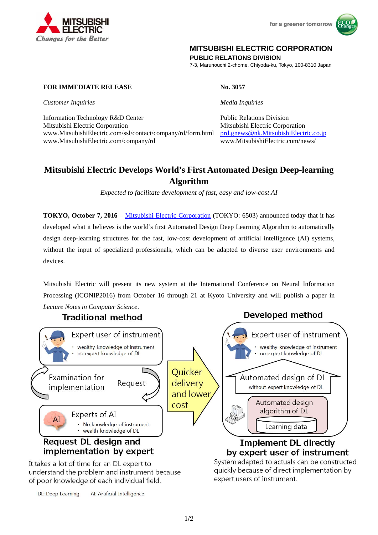



## **MITSUBISHI ELECTRIC CORPORATION**

**PUBLIC RELATIONS DIVISION** 

7-3, Marunouchi 2-chome, Chiyoda-ku, Tokyo, 100-8310 Japan

## **FOR IMMEDIATE RELEASE No. 3057**

*Customer Inquiries Media Inquiries* 

**Changes for the Better** 

Information Technology R&D Center Public Relations Division Mitsubishi Electric Corporation Mitsubishi Electric Corporation www.MitsubishiElectric.com/ssl/contact/company/rd/form.html prd.gnews@nk.MitsubishiElectric.co.jp www.MitsubishiElectric.com/company/rd www.MitsubishiElectric.com/news/

# **Mitsubishi Electric Develops World's First Automated Design Deep-learning Algorithm**

*Expected to facilitate development of fast, easy and low-cost AI* 

**TOKYO, October 7, 2016** – Mitsubishi Electric Corporation (TOKYO: 6503) announced today that it has developed what it believes is the world's first Automated Design Deep Learning Algorithm to automatically design deep-learning structures for the fast, low-cost development of artificial intelligence (AI) systems, without the input of specialized professionals, which can be adapted to diverse user environments and devices.

Mitsubishi Electric will present its new system at the International Conference on Neural Information Processing (ICONIP2016) from October 16 through 21 at Kyoto University and will publish a paper in *Lecture Notes in Computer Science*. Developed method

# **Traditional method**



understand the problem and instrument because of poor knowledge of each individual field.

DL: Deep Learning AI: Artificial Intelligence expert users of instrument.